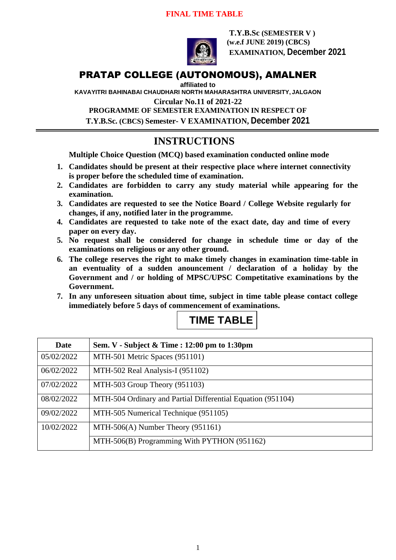

**T.Y.B.Sc (SEMESTER V ) (w.e.f JUNE 2019) (CBCS) EXAMINATION, December 2021**

## PRATAP COLLEGE (AUTONOMOUS), AMALNER

**affiliated to** 

**KAVAYITRI BAHINABAI CHAUDHARI NORTH MAHARASHTRA UNIVERSITY, JALGAON**

**Circular No.11 of 2021-22**

**PROGRAMME OF SEMESTER EXAMINATION IN RESPECT OF T.Y.B.Sc. (CBCS) Semester- V EXAMINATION, December 2021**

# **INSTRUCTIONS**

**Multiple Choice Question (MCQ) based examination conducted online mode**

- **1. Candidates should be present at their respective place where internet connectivity is proper before the scheduled time of examination.**
- **2. Candidates are forbidden to carry any study material while appearing for the examination.**
- **3. Candidates are requested to see the Notice Board / College Website regularly for changes, if any, notified later in the programme.**
- **4. Candidates are requested to take note of the exact date, day and time of every paper on every day.**
- **5. No request shall be considered for change in schedule time or day of the examinations on religious or any other ground.**
- **6. The college reserves the right to make timely changes in examination time-table in an eventuality of a sudden anouncement / declaration of a holiday by the Government and / or holding of MPSC/UPSC Competitative examinations by the Government.**
- **7. In any unforeseen situation about time, subject in time table please contact college immediately before 5 days of commencement of examinations.**



| Date       | Sem. V - Subject & Time : 12:00 pm to 1:30pm                |
|------------|-------------------------------------------------------------|
| 05/02/2022 | MTH-501 Metric Spaces (951101)                              |
| 06/02/2022 | MTH-502 Real Analysis-I (951102)                            |
| 07/02/2022 | MTH-503 Group Theory (951103)                               |
| 08/02/2022 | MTH-504 Ordinary and Partial Differential Equation (951104) |
| 09/02/2022 | MTH-505 Numerical Technique (951105)                        |
| 10/02/2022 | MTH-506(A) Number Theory $(951161)$                         |
|            | MTH-506(B) Programming With PYTHON (951162)                 |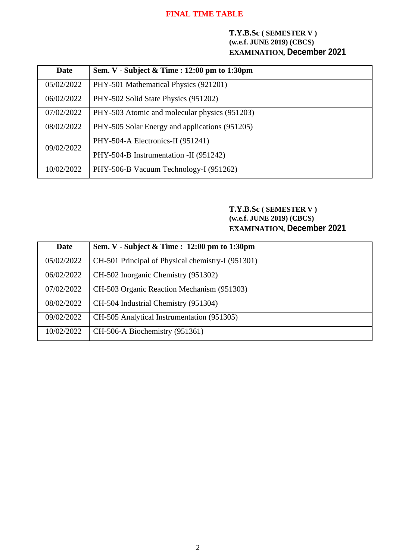#### **T.Y.B.Sc ( SEMESTER V ) (w.e.f. JUNE 2019) (CBCS) EXAMINATION, December 2021**

| Date       | Sem. V - Subject & Time : 12:00 pm to 1:30pm   |
|------------|------------------------------------------------|
| 05/02/2022 | PHY-501 Mathematical Physics (921201)          |
| 06/02/2022 | PHY-502 Solid State Physics (951202)           |
| 07/02/2022 | PHY-503 Atomic and molecular physics (951203)  |
| 08/02/2022 | PHY-505 Solar Energy and applications (951205) |
| 09/02/2022 | PHY-504-A Electronics-II (951241)              |
|            | PHY-504-B Instrumentation -II (951242)         |
| 10/02/2022 | PHY-506-B Vacuum Technology-I (951262)         |

## **T.Y.B.Sc ( SEMESTER V ) (w.e.f. JUNE 2019) (CBCS) EXAMINATION, December 2021**

| Date       | Sem. V - Subject & Time : 12:00 pm to 1:30pm      |
|------------|---------------------------------------------------|
| 05/02/2022 | CH-501 Principal of Physical chemistry-I (951301) |
| 06/02/2022 | CH-502 Inorganic Chemistry (951302)               |
| 07/02/2022 | CH-503 Organic Reaction Mechanism (951303)        |
| 08/02/2022 | CH-504 Industrial Chemistry (951304)              |
| 09/02/2022 | CH-505 Analytical Instrumentation (951305)        |
| 10/02/2022 | CH-506-A Biochemistry (951361)                    |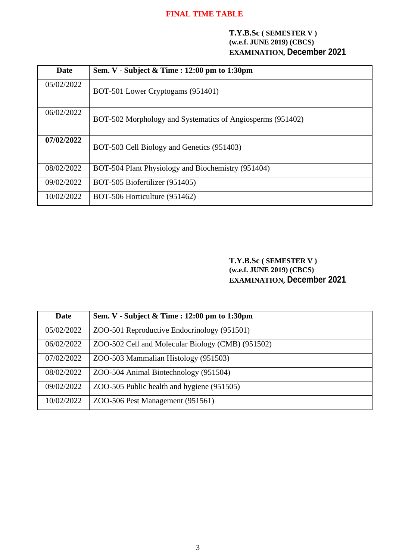#### **T.Y.B.Sc ( SEMESTER V ) (w.e.f. JUNE 2019) (CBCS) EXAMINATION, December 2021**

| Date       | Sem. V - Subject $\&$ Time : 12:00 pm to 1:30pm            |
|------------|------------------------------------------------------------|
| 05/02/2022 | BOT-501 Lower Cryptogams (951401)                          |
| 06/02/2022 | BOT-502 Morphology and Systematics of Angiosperms (951402) |
| 07/02/2022 | BOT-503 Cell Biology and Genetics (951403)                 |
| 08/02/2022 | BOT-504 Plant Physiology and Biochemistry (951404)         |
| 09/02/2022 | BOT-505 Biofertilizer (951405)                             |
| 10/02/2022 | BOT-506 Horticulture (951462)                              |

**T.Y.B.Sc ( SEMESTER V ) (w.e.f. JUNE 2019) (CBCS) EXAMINATION, December 2021**

| <b>Date</b> | Sem. V - Subject & Time : 12:00 pm to 1:30pm      |
|-------------|---------------------------------------------------|
| 05/02/2022  | ZOO-501 Reproductive Endocrinology (951501)       |
| 06/02/2022  | ZOO-502 Cell and Molecular Biology (CMB) (951502) |
| 07/02/2022  | ZOO-503 Mammalian Histology (951503)              |
| 08/02/2022  | ZOO-504 Animal Biotechnology (951504)             |
| 09/02/2022  | ZOO-505 Public health and hygiene (951505)        |
| 10/02/2022  | ZOO-506 Pest Management (951561)                  |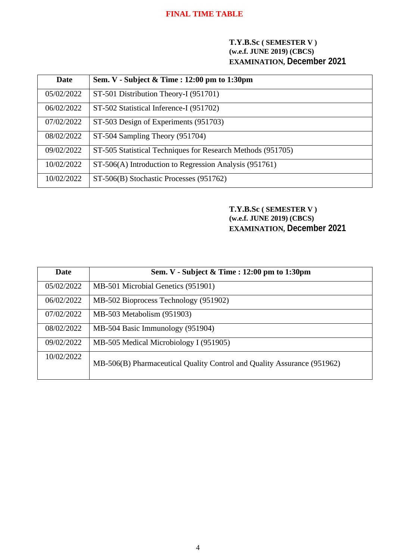#### **T.Y.B.Sc ( SEMESTER V ) (w.e.f. JUNE 2019) (CBCS) EXAMINATION, December 2021**

| Date       | Sem. V - Subject & Time : 12:00 pm to 1:30pm                |
|------------|-------------------------------------------------------------|
| 05/02/2022 | ST-501 Distribution Theory-I (951701)                       |
| 06/02/2022 | ST-502 Statistical Inference-I (951702)                     |
| 07/02/2022 | ST-503 Design of Experiments (951703)                       |
| 08/02/2022 | ST-504 Sampling Theory (951704)                             |
| 09/02/2022 | ST-505 Statistical Techniques for Research Methods (951705) |
| 10/02/2022 | ST-506(A) Introduction to Regression Analysis (951761)      |
| 10/02/2022 | ST-506(B) Stochastic Processes (951762)                     |

## **T.Y.B.Sc ( SEMESTER V ) (w.e.f. JUNE 2019) (CBCS) EXAMINATION, December 2021**

| Date       | Sem. V - Subject & Time : 12:00 pm to 1:30pm                            |
|------------|-------------------------------------------------------------------------|
| 05/02/2022 | MB-501 Microbial Genetics (951901)                                      |
| 06/02/2022 | MB-502 Bioprocess Technology (951902)                                   |
| 07/02/2022 | MB-503 Metabolism (951903)                                              |
| 08/02/2022 | MB-504 Basic Immunology (951904)                                        |
| 09/02/2022 | MB-505 Medical Microbiology I (951905)                                  |
| 10/02/2022 | MB-506(B) Pharmaceutical Quality Control and Quality Assurance (951962) |